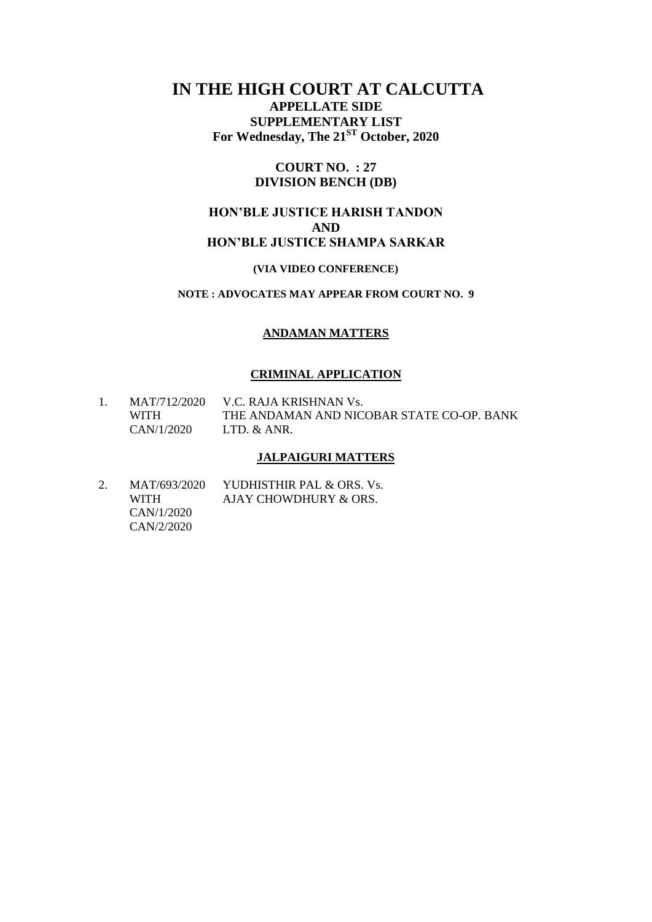# **IN THE HIGH COURT AT CALCUTTA**

**APPELLATE SIDE SUPPLEMENTARY LIST For Wednesday, The 21ST October, 2020**

#### **COURT NO. : 27 DIVISION BENCH (DB)**

## **HON'BLE JUSTICE HARISH TANDON AND HON'BLE JUSTICE SHAMPA SARKAR**

#### **(VIA VIDEO CONFERENCE)**

## **NOTE : ADVOCATES MAY APPEAR FROM COURT NO. 9**

#### **ANDAMAN MATTERS**

#### **CRIMINAL APPLICATION**

| MAT/712/2020 | V.C. RAJA KRISHNAN Vs.                    |
|--------------|-------------------------------------------|
| <b>WITH</b>  | THE ANDAMAN AND NICOBAR STATE CO-OP. BANK |
| CAN/1/2020   | LTD. & ANR.                               |

#### **JALPAIGURI MATTERS**

2. MAT/693/2020 YUDHISTHIR PAL & ORS. Vs. WITH AJAY CHOWDHURY & ORS. CAN/1/2020 CAN/2/2020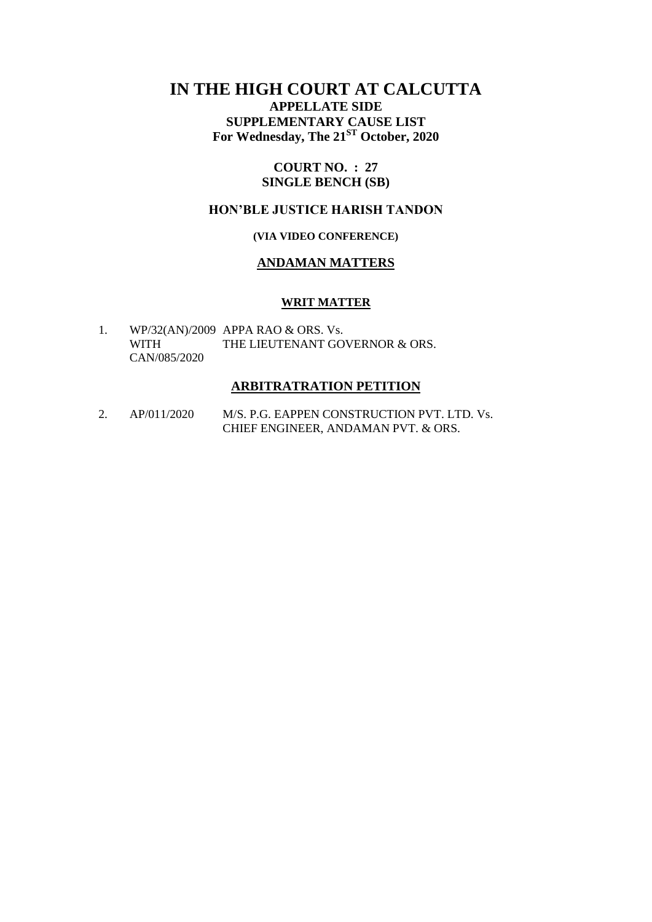# **IN THE HIGH COURT AT CALCUTTA APPELLATE SIDE SUPPLEMENTARY CAUSE LIST For Wednesday, The 21ST October, 2020**

#### **COURT NO. : 27 SINGLE BENCH (SB)**

## **HON'BLE JUSTICE HARISH TANDON**

## **(VIA VIDEO CONFERENCE)**

#### **ANDAMAN MATTERS**

#### **WRIT MATTER**

1. WP/32(AN)/2009 APPA RAO & ORS. Vs. WITH THE LIEUTENANT GOVERNOR & ORS. CAN/085/2020

#### **ARBITRATRATION PETITION**

2. AP/011/2020 M/S. P.G. EAPPEN CONSTRUCTION PVT. LTD. Vs. CHIEF ENGINEER, ANDAMAN PVT. & ORS.